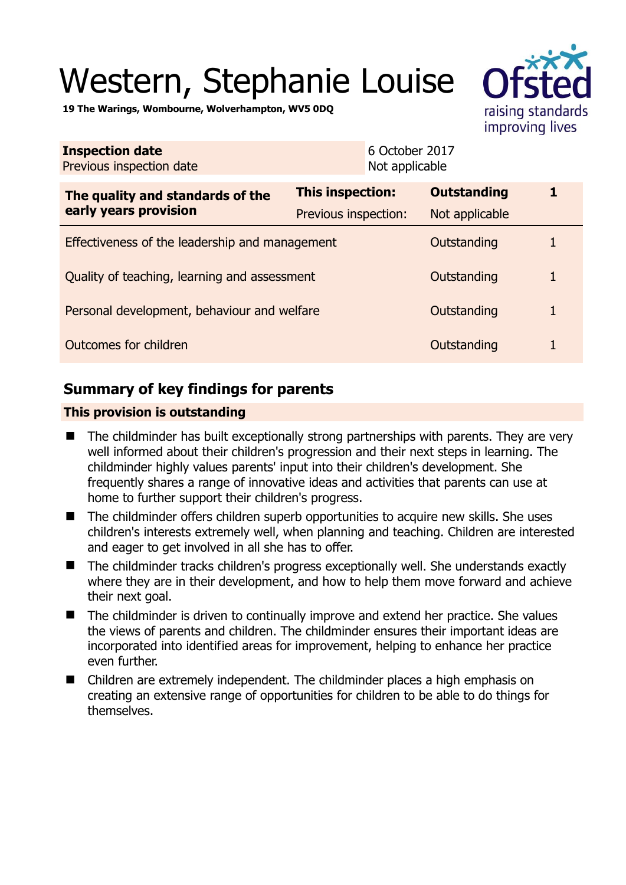# Western, Stephanie Louise



**19 The Warings, Wombourne, Wolverhampton, WV5 0DQ** 

| <b>Inspection date</b><br>Previous inspection date        | 6 October 2017<br>Not applicable                |                                      |   |
|-----------------------------------------------------------|-------------------------------------------------|--------------------------------------|---|
| The quality and standards of the<br>early years provision | <b>This inspection:</b><br>Previous inspection: | <b>Outstanding</b><br>Not applicable |   |
| Effectiveness of the leadership and management            |                                                 | Outstanding                          | 1 |
| Quality of teaching, learning and assessment              |                                                 | Outstanding                          | 1 |
| Personal development, behaviour and welfare               |                                                 | Outstanding                          | 1 |
| Outcomes for children<br>Outstanding                      |                                                 |                                      | 1 |

# **Summary of key findings for parents**

## **This provision is outstanding**

- The childminder has built exceptionally strong partnerships with parents. They are very well informed about their children's progression and their next steps in learning. The childminder highly values parents' input into their children's development. She frequently shares a range of innovative ideas and activities that parents can use at home to further support their children's progress.
- The childminder offers children superb opportunities to acquire new skills. She uses children's interests extremely well, when planning and teaching. Children are interested and eager to get involved in all she has to offer.
- The childminder tracks children's progress exceptionally well. She understands exactly where they are in their development, and how to help them move forward and achieve their next goal.
- The childminder is driven to continually improve and extend her practice. She values the views of parents and children. The childminder ensures their important ideas are incorporated into identified areas for improvement, helping to enhance her practice even further.
- Children are extremely independent. The childminder places a high emphasis on creating an extensive range of opportunities for children to be able to do things for themselves.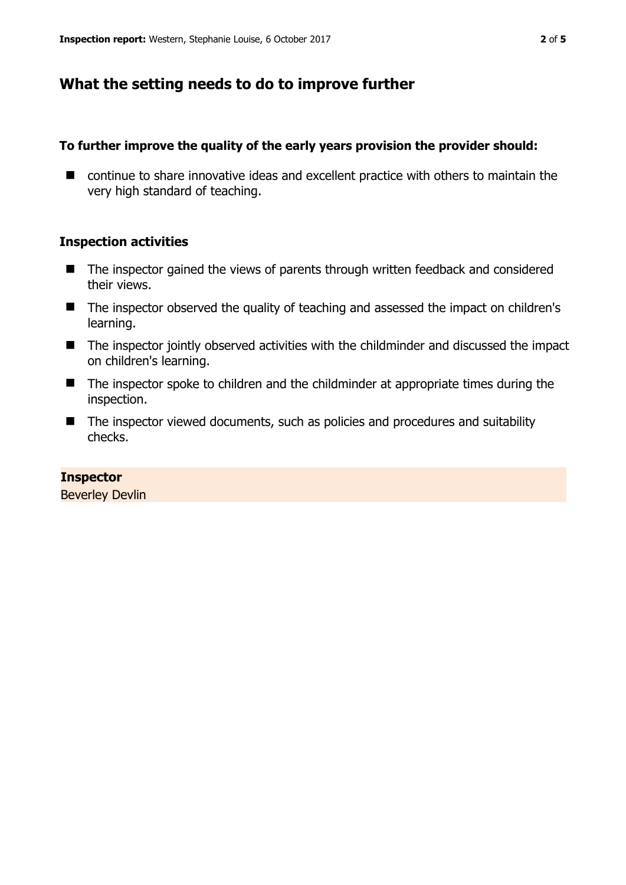# **What the setting needs to do to improve further**

## **To further improve the quality of the early years provision the provider should:**

■ continue to share innovative ideas and excellent practice with others to maintain the very high standard of teaching.

## **Inspection activities**

- The inspector gained the views of parents through written feedback and considered their views.
- The inspector observed the quality of teaching and assessed the impact on children's learning.
- The inspector jointly observed activities with the childminder and discussed the impact on children's learning.
- The inspector spoke to children and the childminder at appropriate times during the inspection.
- The inspector viewed documents, such as policies and procedures and suitability checks.

## **Inspector**

Beverley Devlin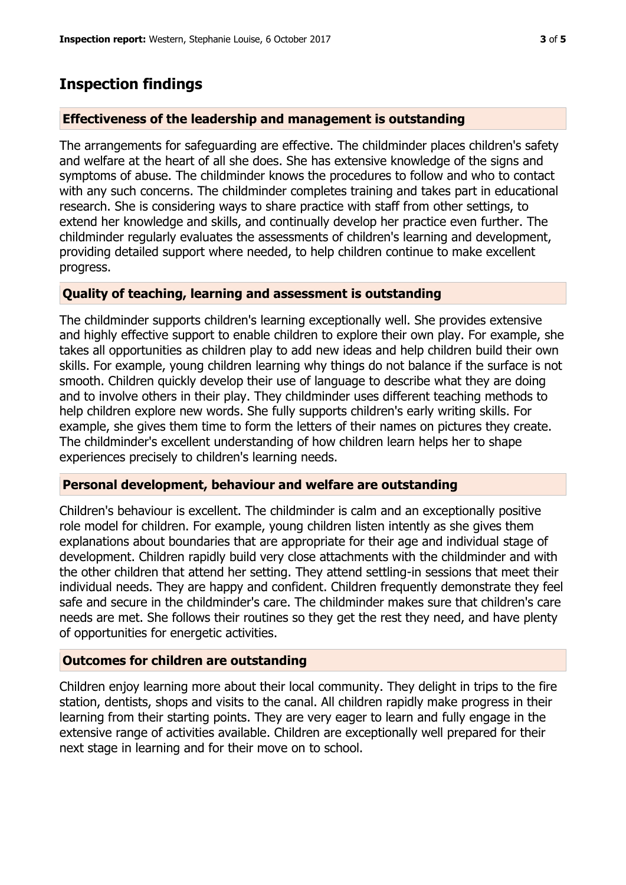## **Inspection findings**

#### **Effectiveness of the leadership and management is outstanding**

The arrangements for safeguarding are effective. The childminder places children's safety and welfare at the heart of all she does. She has extensive knowledge of the signs and symptoms of abuse. The childminder knows the procedures to follow and who to contact with any such concerns. The childminder completes training and takes part in educational research. She is considering ways to share practice with staff from other settings, to extend her knowledge and skills, and continually develop her practice even further. The childminder regularly evaluates the assessments of children's learning and development, providing detailed support where needed, to help children continue to make excellent progress.

#### **Quality of teaching, learning and assessment is outstanding**

The childminder supports children's learning exceptionally well. She provides extensive and highly effective support to enable children to explore their own play. For example, she takes all opportunities as children play to add new ideas and help children build their own skills. For example, young children learning why things do not balance if the surface is not smooth. Children quickly develop their use of language to describe what they are doing and to involve others in their play. They childminder uses different teaching methods to help children explore new words. She fully supports children's early writing skills. For example, she gives them time to form the letters of their names on pictures they create. The childminder's excellent understanding of how children learn helps her to shape experiences precisely to children's learning needs.

#### **Personal development, behaviour and welfare are outstanding**

Children's behaviour is excellent. The childminder is calm and an exceptionally positive role model for children. For example, young children listen intently as she gives them explanations about boundaries that are appropriate for their age and individual stage of development. Children rapidly build very close attachments with the childminder and with the other children that attend her setting. They attend settling-in sessions that meet their individual needs. They are happy and confident. Children frequently demonstrate they feel safe and secure in the childminder's care. The childminder makes sure that children's care needs are met. She follows their routines so they get the rest they need, and have plenty of opportunities for energetic activities.

### **Outcomes for children are outstanding**

Children enjoy learning more about their local community. They delight in trips to the fire station, dentists, shops and visits to the canal. All children rapidly make progress in their learning from their starting points. They are very eager to learn and fully engage in the extensive range of activities available. Children are exceptionally well prepared for their next stage in learning and for their move on to school.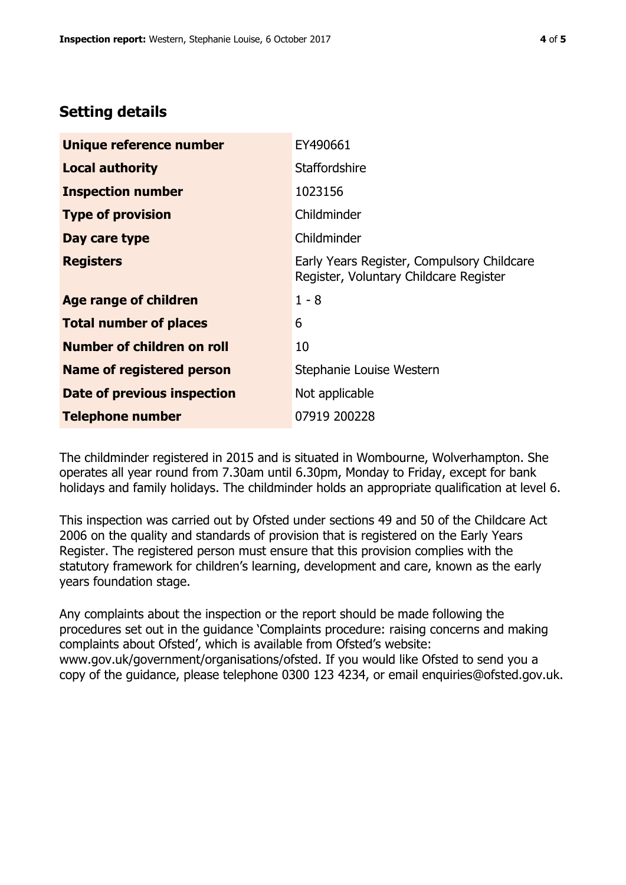## **Setting details**

| Unique reference number          | EY490661                                                                             |  |
|----------------------------------|--------------------------------------------------------------------------------------|--|
| <b>Local authority</b>           | <b>Staffordshire</b>                                                                 |  |
| <b>Inspection number</b>         | 1023156                                                                              |  |
| <b>Type of provision</b>         | Childminder                                                                          |  |
| Day care type                    | Childminder                                                                          |  |
| <b>Registers</b>                 | Early Years Register, Compulsory Childcare<br>Register, Voluntary Childcare Register |  |
| Age range of children            | $1 - 8$                                                                              |  |
| <b>Total number of places</b>    | 6                                                                                    |  |
| Number of children on roll       | 10                                                                                   |  |
| <b>Name of registered person</b> | Stephanie Louise Western                                                             |  |
| Date of previous inspection      | Not applicable                                                                       |  |
| Telephone number                 | 07919 200228                                                                         |  |

The childminder registered in 2015 and is situated in Wombourne, Wolverhampton. She operates all year round from 7.30am until 6.30pm, Monday to Friday, except for bank holidays and family holidays. The childminder holds an appropriate qualification at level 6.

This inspection was carried out by Ofsted under sections 49 and 50 of the Childcare Act 2006 on the quality and standards of provision that is registered on the Early Years Register. The registered person must ensure that this provision complies with the statutory framework for children's learning, development and care, known as the early years foundation stage.

Any complaints about the inspection or the report should be made following the procedures set out in the guidance 'Complaints procedure: raising concerns and making complaints about Ofsted', which is available from Ofsted's website: www.gov.uk/government/organisations/ofsted. If you would like Ofsted to send you a copy of the guidance, please telephone 0300 123 4234, or email enquiries@ofsted.gov.uk.